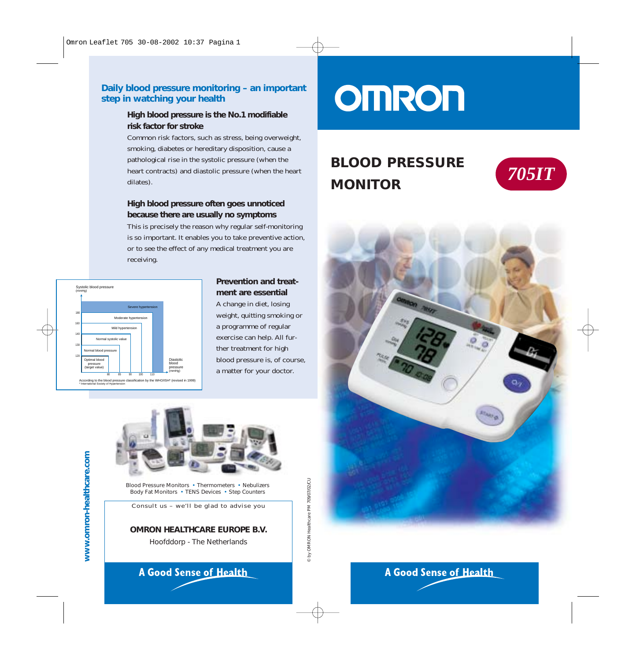### **Daily blood pressure monitoring – an important step in watching your health**

### **High blood pressure is the No.1 modifiable risk factor for stroke**

Common risk factors, such as stress, being overweight, smoking, diabetes or hereditary disposition, cause a pathological rise in the systolic pressure (when the heart contracts) and diastolic pressure (when the heart dilates).

### **High blood pressure often goes unnoticed because there are usually no symptoms**

This is precisely the reason why regular self-monitoring is so important. It enables you to take preventive action, or to see the effect of any medical treatment you are receiving.



ording to the blood pressure classification by the WHO/ISH\* (revised in 199 \* International Society of Hypertension

### **Prevention and treatment are essential** A change in diet, losing weight, quitting smoking or a programme of regular exercise can help. All further treatment for high

blood pressure is, of course, a matter for your doctor.



### **A Good Sense of Health**

# **OMRON**

### **BLOOD PRESSURE MONITOR** *705IT*





**A Good Sense of Health**